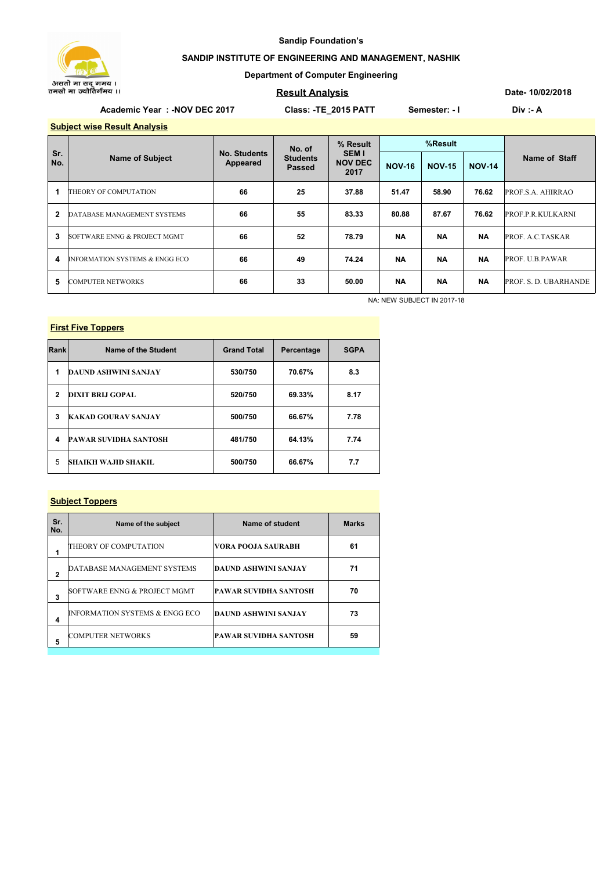

#### **Sandip Foundation's**

### **SANDIP INSTITUTE OF ENGINEERING AND MANAGEMENT, NASHIK**

#### **Department of Computer Engineering**

### **Result Analysis**

**Date- 10/02/2018**

## Academic Year : -NOV DEC 2017 Class: -TE\_2015 PATT Semester: - I Div :- A

**Subject wise Result Analysis**

| Sr.<br>No. | <b>Name of Subject</b>                    | <b>No. Students</b><br>Appeared | No. of<br><b>Students</b><br>Passed | % Result<br><b>SEM I</b><br><b>NOV DEC</b><br>2017 | %Result       |               |               |                          |  |
|------------|-------------------------------------------|---------------------------------|-------------------------------------|----------------------------------------------------|---------------|---------------|---------------|--------------------------|--|
|            |                                           |                                 |                                     |                                                    | <b>NOV-16</b> | <b>NOV-15</b> | <b>NOV-14</b> | Name of Staff            |  |
|            | THEORY OF COMPUTATION                     | 66                              | 25                                  | 37.88                                              | 51.47         | 58.90         | 76.62         | PROF.S.A. AHIRRAO        |  |
| 2          | DATABASE MANAGEMENT SYSTEMS               | 66                              | 55                                  | 83.33                                              | 80.88         | 87.67         | 76.62         | <b>PROF.P.R.KULKARNI</b> |  |
| 3          | SOFTWARE ENNG & PROJECT MGMT              | 66                              | 52                                  | 78.79                                              | <b>NA</b>     | <b>NA</b>     | <b>NA</b>     | PROF. A.C.TASKAR         |  |
| 4          | <b>INFORMATION SYSTEMS &amp; ENGG ECO</b> | 66                              | 49                                  | 74.24                                              | <b>NA</b>     | <b>NA</b>     | <b>NA</b>     | PROF. U.B.PAWAR          |  |
| 5          | <b>COMPUTER NETWORKS</b>                  | 66                              | 33                                  | 50.00                                              | <b>NA</b>     | <b>NA</b>     | <b>NA</b>     | PROF. S. D. UBARHANDE    |  |

NA: NEW SUBJECT IN 2017-18

# **First Five Toppers**

| Rank         | Name of the Student          | <b>Grand Total</b> | Percentage | <b>SGPA</b> |
|--------------|------------------------------|--------------------|------------|-------------|
| 1            | <b>DAUND ASHWINI SANJAY</b>  | 530/750            | 70.67%     | 8.3         |
| $\mathbf{2}$ | DIXIT BRLI GOPAL             | 520/750            | 69.33%     | 8.17        |
| 3            | <b>KAKAD GOURAV SANJAY</b>   | 500/750            | 66.67%     | 7.78        |
| 4            | <b>PAWAR SUVIDHA SANTOSH</b> | 481/750            | 64.13%     | 7.74        |
| 5            | <b>SHAIKH WAJID SHAKIL</b>   | 500/750            | 66.67%     | 7.7         |

#### **Subject Toppers**

| Sr.<br>No.     | Name of the subject                       | Name of student              | <b>Marks</b> |
|----------------|-------------------------------------------|------------------------------|--------------|
| 1              | THEORY OF COMPUTATION                     | VORA POOJA SAURABH           | 61           |
| $\overline{2}$ | DATABASE MANAGEMENT SYSTEMS               | DAUND ASHWINI SANJAY         | 71           |
| 3              | SOFTWARE ENNG & PROJECT MGMT              | <b>PAWAR SUVIDHA SANTOSH</b> | 70           |
| 4              | <b>INFORMATION SYSTEMS &amp; ENGG ECO</b> | <b>DAUND ASHWINI SANJAY</b>  | 73           |
| 5              | <b>COMPUTER NETWORKS</b>                  | PAWAR SUVIDHA SANTOSH        | 59           |